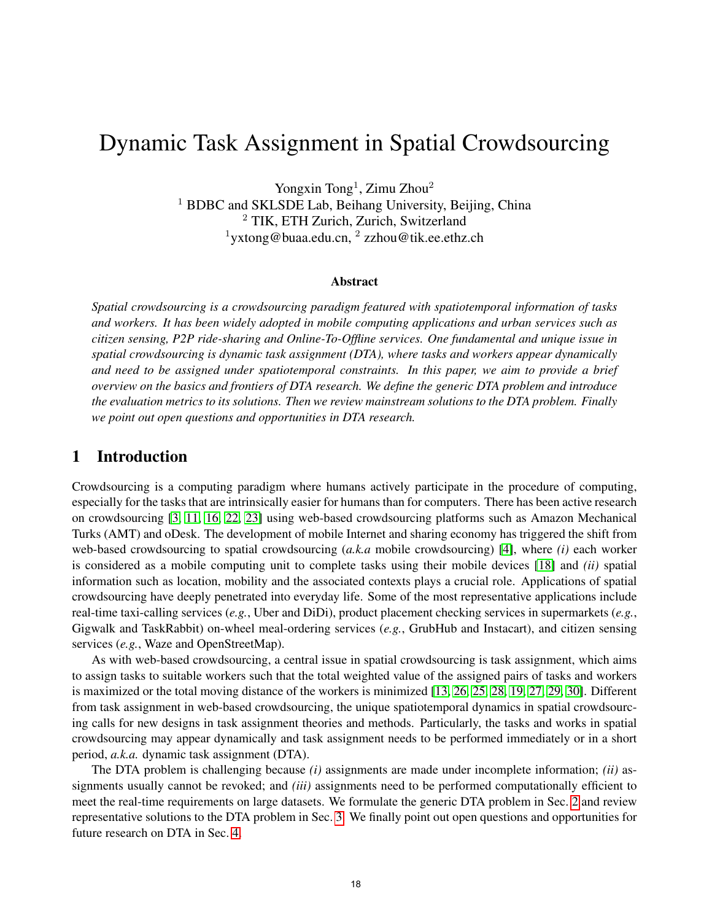# Dynamic Task Assignment in Spatial Crowdsourcing

Yongxin Tong<sup>1</sup>, Zimu Zhou<sup>2</sup> <sup>1</sup> BDBC and SKLSDE Lab, Beihang University, Beijing, China <sup>2</sup> TIK, ETH Zurich, Zurich, Switzerland  $1$ yxtong@buaa.edu.cn,  $2$  zzhou@tik.ee.ethz.ch

#### Abstract

*Spatial crowdsourcing is a crowdsourcing paradigm featured with spatiotemporal information of tasks and workers. It has been widely adopted in mobile computing applications and urban services such as citizen sensing, P2P ride-sharing and Online-To-Offline services. One fundamental and unique issue in spatial crowdsourcing is dynamic task assignment (DTA), where tasks and workers appear dynamically and need to be assigned under spatiotemporal constraints. In this paper, we aim to provide a brief overview on the basics and frontiers of DTA research. We define the generic DTA problem and introduce the evaluation metrics to its solutions. Then we review mainstream solutions to the DTA problem. Finally we point out open questions and opportunities in DTA research.*

## 1 Introduction

Crowdsourcing is a computing paradigm where humans actively participate in the procedure of computing, especially for the tasks that are intrinsically easier for humans than for computers. There has been active research on crowdsourcing [\[3,](#page-5-0) [11,](#page-6-0) [16,](#page-6-1) [22,](#page-6-2) [23\]](#page-7-0) using web-based crowdsourcing platforms such as Amazon Mechanical Turks (AMT) and oDesk. The development of mobile Internet and sharing economy has triggered the shift from web-based crowdsourcing to spatial crowdsourcing (*a.k.a* mobile crowdsourcing) [\[4\]](#page-5-1), where *(i)* each worker is considered as a mobile computing unit to complete tasks using their mobile devices [\[18\]](#page-6-3) and *(ii)* spatial information such as location, mobility and the associated contexts plays a crucial role. Applications of spatial crowdsourcing have deeply penetrated into everyday life. Some of the most representative applications include real-time taxi-calling services (*e.g.*, Uber and DiDi), product placement checking services in supermarkets (*e.g.*, Gigwalk and TaskRabbit) on-wheel meal-ordering services (*e.g.*, GrubHub and Instacart), and citizen sensing services (*e.g.*, Waze and OpenStreetMap).

As with web-based crowdsourcing, a central issue in spatial crowdsourcing is task assignment, which aims to assign tasks to suitable workers such that the total weighted value of the assigned pairs of tasks and workers is maximized or the total moving distance of the workers is minimized [\[13,](#page-6-4) [26,](#page-7-1) [25,](#page-7-2) [28,](#page-7-3) [19,](#page-6-5) [27,](#page-7-4) [29,](#page-7-5) [30\]](#page-7-6). Different from task assignment in web-based crowdsourcing, the unique spatiotemporal dynamics in spatial crowdsourcing calls for new designs in task assignment theories and methods. Particularly, the tasks and works in spatial crowdsourcing may appear dynamically and task assignment needs to be performed immediately or in a short period, *a.k.a.* dynamic task assignment (DTA).

The DTA problem is challenging because *(i)* assignments are made under incomplete information; *(ii)* assignments usually cannot be revoked; and *(iii)* assignments need to be performed computationally efficient to meet the real-time requirements on large datasets. We formulate the generic DTA problem in Sec. [2](#page-1-0) and review representative solutions to the DTA problem in Sec. [3.](#page-3-0) We finally point out open questions and opportunities for future research on DTA in Sec. [4.](#page-5-2)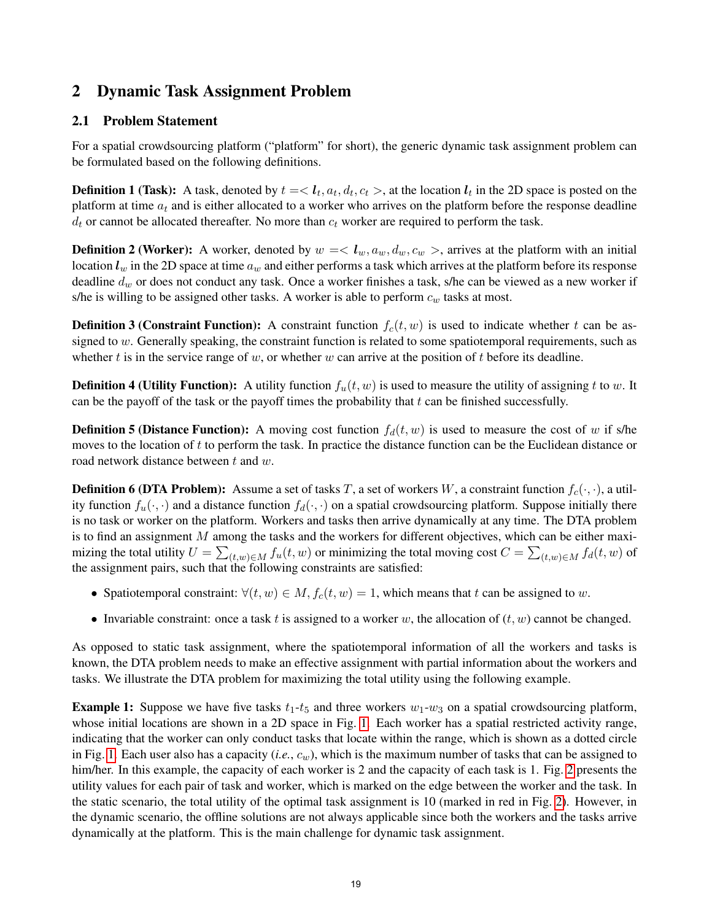# <span id="page-1-0"></span>2 Dynamic Task Assignment Problem

## 2.1 Problem Statement

For a spatial crowdsourcing platform ("platform" for short), the generic dynamic task assignment problem can be formulated based on the following definitions.

**Definition 1 (Task):** A task, denoted by  $t = < l_t, a_t, d_t, c_t >$ , at the location  $l_t$  in the 2D space is posted on the platform at time  $a_t$  and is either allocated to a worker who arrives on the platform before the response deadline  $d_t$  or cannot be allocated thereafter. No more than  $c_t$  worker are required to perform the task.

**Definition 2 (Worker):** A worker, denoted by  $w = \langle l_w, a_w, d_w, c_w \rangle$ , arrives at the platform with an initial location  $l_w$  in the 2D space at time  $a_w$  and either performs a task which arrives at the platform before its response deadline  $d_w$  or does not conduct any task. Once a worker finishes a task, s/he can be viewed as a new worker if s/he is willing to be assigned other tasks. A worker is able to perform  $c_w$  tasks at most.

**Definition 3 (Constraint Function):** A constraint function  $f_c(t, w)$  is used to indicate whether t can be assigned to  $w$ . Generally speaking, the constraint function is related to some spatiotemporal requirements, such as whether t is in the service range of w, or whether w can arrive at the position of t before its deadline.

**Definition 4 (Utility Function):** A utility function  $f_u(t, w)$  is used to measure the utility of assigning t to w. It can be the payoff of the task or the payoff times the probability that  $t$  can be finished successfully.

**Definition 5 (Distance Function):** A moving cost function  $f_d(t, w)$  is used to measure the cost of w if s/he moves to the location of t to perform the task. In practice the distance function can be the Euclidean distance or road network distance between t and w.

**Definition 6 (DTA Problem):** Assume a set of tasks T, a set of workers W, a constraint function  $f_c(\cdot, \cdot)$ , a utility function  $f_u(\cdot, \cdot)$  and a distance function  $f_d(\cdot, \cdot)$  on a spatial crowdsourcing platform. Suppose initially there is no task or worker on the platform. Workers and tasks then arrive dynamically at any time. The DTA problem is to find an assignment M among the tasks and the workers for different objectives, which can be either maximizing the total utility  $U = \sum_{(t,w)\in M} f_u(t,w)$  or minimizing the total moving cost  $C = \sum_{(t,w)\in M} f_d(t,w)$  of the assignment pairs, such that the following constraints are satisfied:

- Spatiotemporal constraint:  $\forall (t, w) \in M$ ,  $f_c(t, w) = 1$ , which means that t can be assigned to w.
- Invariable constraint: once a task t is assigned to a worker w, the allocation of  $(t, w)$  cannot be changed.

As opposed to static task assignment, where the spatiotemporal information of all the workers and tasks is known, the DTA problem needs to make an effective assignment with partial information about the workers and tasks. We illustrate the DTA problem for maximizing the total utility using the following example.

**Example 1:** Suppose we have five tasks  $t_1-t_5$  and three workers  $w_1-w_3$  on a spatial crowdsourcing platform, whose initial locations are shown in a 2D space in Fig. [1.](#page-2-0) Each worker has a spatial restricted activity range, indicating that the worker can only conduct tasks that locate within the range, which is shown as a dotted circle in Fig. [1.](#page-2-0) Each user also has a capacity  $(i.e., c_w)$ , which is the maximum number of tasks that can be assigned to him/her. In this example, the capacity of each worker is [2](#page-2-0) and the capacity of each task is 1. Fig. 2 presents the utility values for each pair of task and worker, which is marked on the edge between the worker and the task. In the static scenario, the total utility of the optimal task assignment is 10 (marked in red in Fig. [2\)](#page-2-0). However, in the dynamic scenario, the offline solutions are not always applicable since both the workers and the tasks arrive dynamically at the platform. This is the main challenge for dynamic task assignment.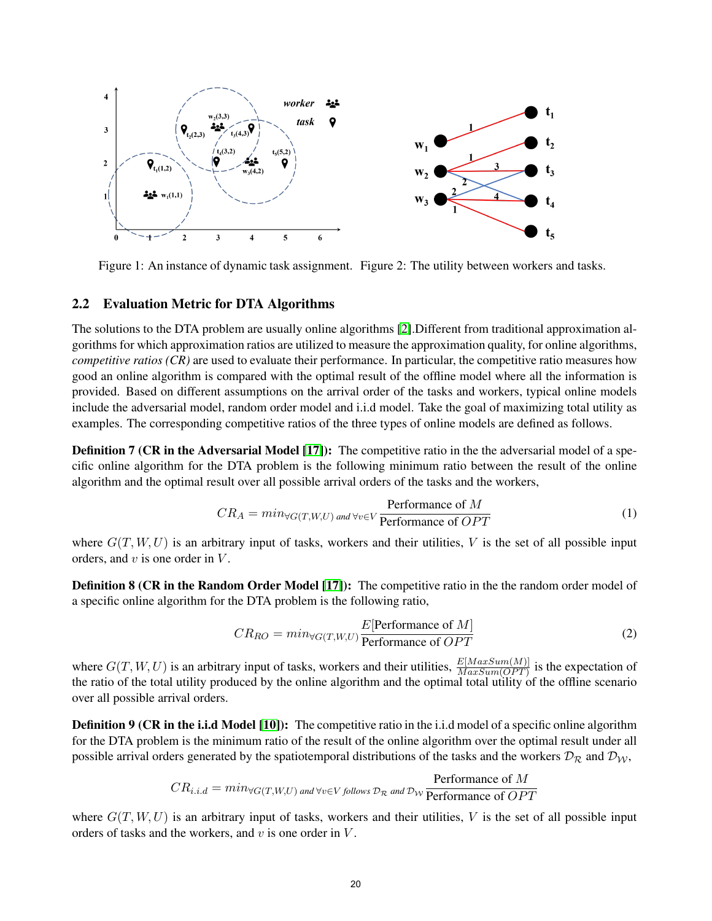<span id="page-2-0"></span>

Figure 1: An instance of dynamic task assignment. Figure 2: The utility between workers and tasks.

#### 2.2 Evaluation Metric for DTA Algorithms

The solutions to the DTA problem are usually online algorithms [\[2\]](#page-5-3).Different from traditional approximation algorithms for which approximation ratios are utilized to measure the approximation quality, for online algorithms, *competitive ratios (CR)* are used to evaluate their performance. In particular, the competitive ratio measures how good an online algorithm is compared with the optimal result of the offline model where all the information is provided. Based on different assumptions on the arrival order of the tasks and workers, typical online models include the adversarial model, random order model and i.i.d model. Take the goal of maximizing total utility as examples. The corresponding competitive ratios of the three types of online models are defined as follows.

**Definition 7 (CR in the Adversarial Model [\[17\]](#page-6-6)):** The competitive ratio in the the adversarial model of a specific online algorithm for the DTA problem is the following minimum ratio between the result of the online algorithm and the optimal result over all possible arrival orders of the tasks and the workers,

$$
CR_A = min_{\forall G(T, W, U) \text{ and } \forall v \in V} \frac{\text{Performance of } M}{\text{Performance of } OPT}
$$
(1)

where  $G(T, W, U)$  is an arbitrary input of tasks, workers and their utilities, V is the set of all possible input orders, and  $v$  is one order in  $V$ .

Definition 8 (CR in the Random Order Model [\[17\]](#page-6-6)): The competitive ratio in the the random order model of a specific online algorithm for the DTA problem is the following ratio,

$$
CR_{RO} = min_{\forall G(T, W, U)} \frac{E[\text{Performance of } M]}{\text{Performance of } OPT}
$$
 (2)

where  $G(T, W, U)$  is an arbitrary input of tasks, workers and their utilities,  $\frac{E[MaxSum(OPT)}{MaxSum(OPT)}$  is the expectation of the ratio of the total utility produced by the online algorithm and the optimal total utility of the offline scenario over all possible arrival orders.

**Definition 9 (CR in the i.i.d Model [\[10\]](#page-6-7)):** The competitive ratio in the i.i.d model of a specific online algorithm for the DTA problem is the minimum ratio of the result of the online algorithm over the optimal result under all possible arrival orders generated by the spatiotemporal distributions of the tasks and the workers  $\mathcal{D}_R$  and  $\mathcal{D}_W$ ,

$$
CR_{i.i.d} = min_{\forall G(T,W,U) \text{ and } \forall v \in V \text{ follows } \mathcal{D}_{\mathcal{R}} \text{ and } \mathcal{D}_{\mathcal{W}} \text{ Performance of } \overline{OPT}
$$

where  $G(T, W, U)$  is an arbitrary input of tasks, workers and their utilities, V is the set of all possible input orders of tasks and the workers, and  $v$  is one order in  $V$ .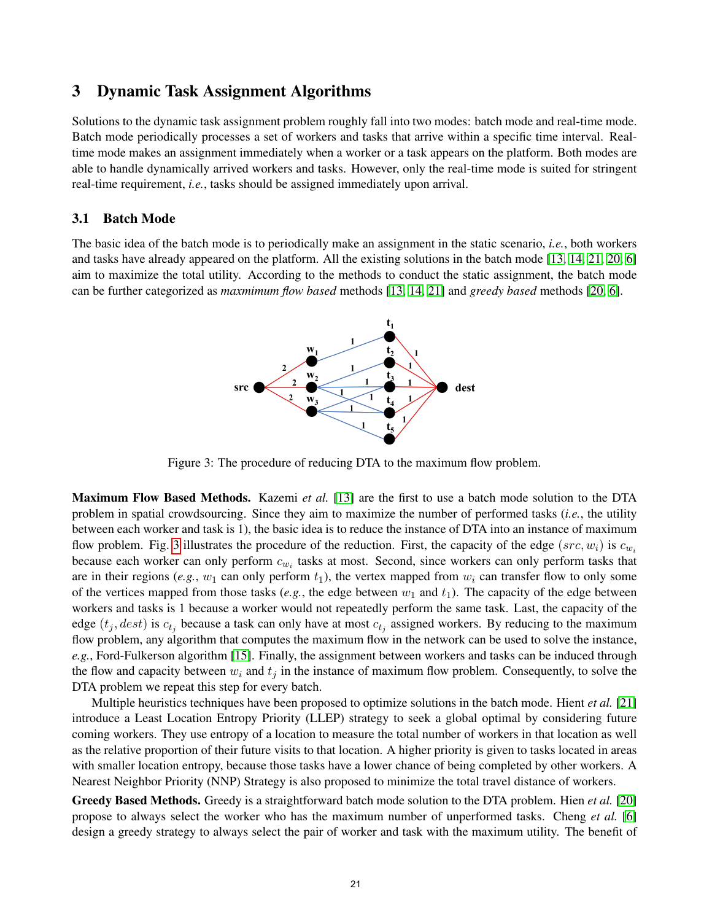## <span id="page-3-0"></span>3 Dynamic Task Assignment Algorithms

Solutions to the dynamic task assignment problem roughly fall into two modes: batch mode and real-time mode. Batch mode periodically processes a set of workers and tasks that arrive within a specific time interval. Realtime mode makes an assignment immediately when a worker or a task appears on the platform. Both modes are able to handle dynamically arrived workers and tasks. However, only the real-time mode is suited for stringent real-time requirement, *i.e.*, tasks should be assigned immediately upon arrival.

## 3.1 Batch Mode

<span id="page-3-1"></span>The basic idea of the batch mode is to periodically make an assignment in the static scenario, *i.e.*, both workers and tasks have already appeared on the platform. All the existing solutions in the batch mode [\[13,](#page-6-4) [14,](#page-6-8) [21,](#page-6-9) [20,](#page-6-10) [6\]](#page-5-4) aim to maximize the total utility. According to the methods to conduct the static assignment, the batch mode can be further categorized as *maxmimum flow based* methods [\[13,](#page-6-4) [14,](#page-6-8) [21\]](#page-6-9) and *greedy based* methods [\[20,](#page-6-10) [6\]](#page-5-4).



Figure 3: The procedure of reducing DTA to the maximum flow problem.

Maximum Flow Based Methods. Kazemi *et al.* [\[13\]](#page-6-4) are the first to use a batch mode solution to the DTA problem in spatial crowdsourcing. Since they aim to maximize the number of performed tasks (*i.e.*, the utility between each worker and task is 1), the basic idea is to reduce the instance of DTA into an instance of maximum flow problem. Fig. [3](#page-3-1) illustrates the procedure of the reduction. First, the capacity of the edge (src,  $w_i$ ) is  $c_{w_i}$ because each worker can only perform  $c_{w_i}$  tasks at most. Second, since workers can only perform tasks that are in their regions (*e.g.*,  $w_1$  can only perform  $t_1$ ), the vertex mapped from  $w_i$  can transfer flow to only some of the vertices mapped from those tasks (*e.g.*, the edge between  $w_1$  and  $t_1$ ). The capacity of the edge between workers and tasks is 1 because a worker would not repeatedly perform the same task. Last, the capacity of the edge  $(t_j, dest)$  is  $c_{t_j}$  because a task can only have at most  $c_{t_j}$  assigned workers. By reducing to the maximum flow problem, any algorithm that computes the maximum flow in the network can be used to solve the instance, *e.g.*, Ford-Fulkerson algorithm [\[15\]](#page-6-11). Finally, the assignment between workers and tasks can be induced through the flow and capacity between  $w_i$  and  $t_j$  in the instance of maximum flow problem. Consequently, to solve the DTA problem we repeat this step for every batch.

Multiple heuristics techniques have been proposed to optimize solutions in the batch mode. Hient *et al.* [\[21\]](#page-6-9) introduce a Least Location Entropy Priority (LLEP) strategy to seek a global optimal by considering future coming workers. They use entropy of a location to measure the total number of workers in that location as well as the relative proportion of their future visits to that location. A higher priority is given to tasks located in areas with smaller location entropy, because those tasks have a lower chance of being completed by other workers. A Nearest Neighbor Priority (NNP) Strategy is also proposed to minimize the total travel distance of workers.

Greedy Based Methods. Greedy is a straightforward batch mode solution to the DTA problem. Hien *et al.* [\[20\]](#page-6-10) propose to always select the worker who has the maximum number of unperformed tasks. Cheng *et al.* [\[6\]](#page-5-4) design a greedy strategy to always select the pair of worker and task with the maximum utility. The benefit of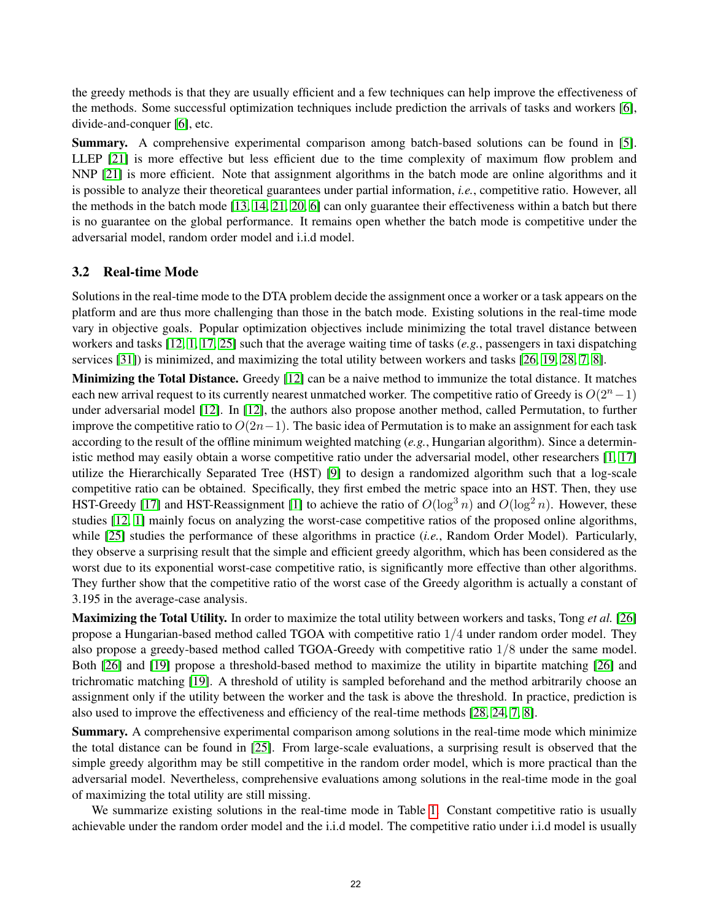the greedy methods is that they are usually efficient and a few techniques can help improve the effectiveness of the methods. Some successful optimization techniques include prediction the arrivals of tasks and workers [\[6\]](#page-5-4), divide-and-conquer [\[6\]](#page-5-4), etc.

Summary. A comprehensive experimental comparison among batch-based solutions can be found in [\[5\]](#page-5-5). LLEP [\[21\]](#page-6-9) is more effective but less efficient due to the time complexity of maximum flow problem and NNP [\[21\]](#page-6-9) is more efficient. Note that assignment algorithms in the batch mode are online algorithms and it is possible to analyze their theoretical guarantees under partial information, *i.e.*, competitive ratio. However, all the methods in the batch mode [\[13,](#page-6-4) [14,](#page-6-8) [21,](#page-6-9) [20,](#page-6-10) [6\]](#page-5-4) can only guarantee their effectiveness within a batch but there is no guarantee on the global performance. It remains open whether the batch mode is competitive under the adversarial model, random order model and i.i.d model.

## 3.2 Real-time Mode

Solutions in the real-time mode to the DTA problem decide the assignment once a worker or a task appears on the platform and are thus more challenging than those in the batch mode. Existing solutions in the real-time mode vary in objective goals. Popular optimization objectives include minimizing the total travel distance between workers and tasks [\[12,](#page-6-12) [1,](#page-5-6) [17,](#page-6-6) [25\]](#page-7-2) such that the average waiting time of tasks (*e.g.*, passengers in taxi dispatching services [\[31\]](#page-7-7)) is minimized, and maximizing the total utility between workers and tasks [\[26,](#page-7-1) [19,](#page-6-5) [28,](#page-7-3) [7,](#page-6-13) [8\]](#page-6-14).

Minimizing the Total Distance. Greedy [\[12\]](#page-6-12) can be a naive method to immunize the total distance. It matches each new arrival request to its currently nearest unmatched worker. The competitive ratio of Greedy is  $O(2<sup>n</sup>−1)$ under adversarial model [\[12\]](#page-6-12). In [\[12\]](#page-6-12), the authors also propose another method, called Permutation, to further improve the competitive ratio to  $O(2n-1)$ . The basic idea of Permutation is to make an assignment for each task according to the result of the offline minimum weighted matching (*e.g.*, Hungarian algorithm). Since a deterministic method may easily obtain a worse competitive ratio under the adversarial model, other researchers [\[1,](#page-5-6) [17\]](#page-6-6) utilize the Hierarchically Separated Tree (HST) [\[9\]](#page-6-15) to design a randomized algorithm such that a log-scale competitive ratio can be obtained. Specifically, they first embed the metric space into an HST. Then, they use HST-Greedy [\[17\]](#page-6-6) and HST-Reassignment [\[1\]](#page-5-6) to achieve the ratio of  $O(\log^3 n)$  and  $O(\log^2 n)$ . However, these studies [\[12,](#page-6-12) [1\]](#page-5-6) mainly focus on analyzing the worst-case competitive ratios of the proposed online algorithms, while [\[25\]](#page-7-2) studies the performance of these algorithms in practice (*i.e.*, Random Order Model). Particularly, they observe a surprising result that the simple and efficient greedy algorithm, which has been considered as the worst due to its exponential worst-case competitive ratio, is significantly more effective than other algorithms. They further show that the competitive ratio of the worst case of the Greedy algorithm is actually a constant of 3.195 in the average-case analysis.

Maximizing the Total Utility. In order to maximize the total utility between workers and tasks, Tong *et al.* [\[26\]](#page-7-1) propose a Hungarian-based method called TGOA with competitive ratio  $1/4$  under random order model. They also propose a greedy-based method called TGOA-Greedy with competitive ratio 1/8 under the same model. Both [\[26\]](#page-7-1) and [\[19\]](#page-6-5) propose a threshold-based method to maximize the utility in bipartite matching [\[26\]](#page-7-1) and trichromatic matching [\[19\]](#page-6-5). A threshold of utility is sampled beforehand and the method arbitrarily choose an assignment only if the utility between the worker and the task is above the threshold. In practice, prediction is also used to improve the effectiveness and efficiency of the real-time methods [\[28,](#page-7-3) [24,](#page-7-8) [7,](#page-6-13) [8\]](#page-6-14).

Summary. A comprehensive experimental comparison among solutions in the real-time mode which minimize the total distance can be found in [\[25\]](#page-7-2). From large-scale evaluations, a surprising result is observed that the simple greedy algorithm may be still competitive in the random order model, which is more practical than the adversarial model. Nevertheless, comprehensive evaluations among solutions in the real-time mode in the goal of maximizing the total utility are still missing.

We summarize existing solutions in the real-time mode in Table [1.](#page-5-7) Constant competitive ratio is usually achievable under the random order model and the i.i.d model. The competitive ratio under i.i.d model is usually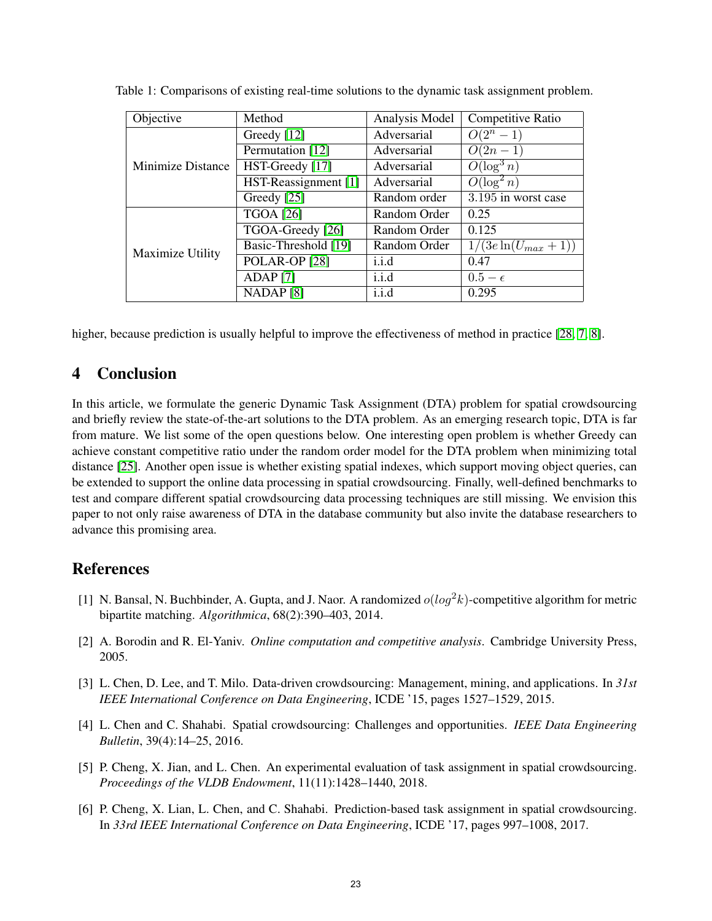| Objective         | Method                   | Analysis Model | Competitive Ratio                 |
|-------------------|--------------------------|----------------|-----------------------------------|
| Minimize Distance | Greedy [12]              | Adversarial    | $O(2^n - 1)$                      |
|                   | Permutation [12]         | Adversarial    | $O(2n-1)$                         |
|                   | HST-Greedy [17]          | Adversarial    | $O(\log^3 n)$                     |
|                   | HST-Reassignment [1]     | Adversarial    | $O(\log^2 n)$                     |
|                   | Greedy [25]              | Random order   | 3.195 in worst case               |
| Maximize Utility  | <b>TGOA</b> [26]         | Random Order   | 0.25                              |
|                   | TGOA-Greedy [26]         | Random Order   | 0.125                             |
|                   | Basic-Threshold [19]     | Random Order   | $\overline{1/(3e\ln(U_{max}+1))}$ |
|                   | POLAR-OP <sub>[28]</sub> | i.i.d          | 0.47                              |
|                   | $ADAP$ [7]               | i.i.d          | $0.5-\epsilon$                    |
|                   | NADAP <sup>[8]</sup>     | i.i.d          | 0.295                             |

<span id="page-5-7"></span>Table 1: Comparisons of existing real-time solutions to the dynamic task assignment problem.

higher, because prediction is usually helpful to improve the effectiveness of method in practice [\[28,](#page-7-3) [7,](#page-6-13) [8\]](#page-6-14).

# <span id="page-5-2"></span>4 Conclusion

In this article, we formulate the generic Dynamic Task Assignment (DTA) problem for spatial crowdsourcing and briefly review the state-of-the-art solutions to the DTA problem. As an emerging research topic, DTA is far from mature. We list some of the open questions below. One interesting open problem is whether Greedy can achieve constant competitive ratio under the random order model for the DTA problem when minimizing total distance [\[25\]](#page-7-2). Another open issue is whether existing spatial indexes, which support moving object queries, can be extended to support the online data processing in spatial crowdsourcing. Finally, well-defined benchmarks to test and compare different spatial crowdsourcing data processing techniques are still missing. We envision this paper to not only raise awareness of DTA in the database community but also invite the database researchers to advance this promising area.

# References

- <span id="page-5-6"></span>[1] N. Bansal, N. Buchbinder, A. Gupta, and J. Naor. A randomized  $o(log^2k)$ -competitive algorithm for metric bipartite matching. *Algorithmica*, 68(2):390–403, 2014.
- <span id="page-5-3"></span>[2] A. Borodin and R. El-Yaniv. *Online computation and competitive analysis*. Cambridge University Press, 2005.
- <span id="page-5-0"></span>[3] L. Chen, D. Lee, and T. Milo. Data-driven crowdsourcing: Management, mining, and applications. In *31st IEEE International Conference on Data Engineering*, ICDE '15, pages 1527–1529, 2015.
- <span id="page-5-1"></span>[4] L. Chen and C. Shahabi. Spatial crowdsourcing: Challenges and opportunities. *IEEE Data Engineering Bulletin*, 39(4):14–25, 2016.
- <span id="page-5-5"></span>[5] P. Cheng, X. Jian, and L. Chen. An experimental evaluation of task assignment in spatial crowdsourcing. *Proceedings of the VLDB Endowment*, 11(11):1428–1440, 2018.
- <span id="page-5-4"></span>[6] P. Cheng, X. Lian, L. Chen, and C. Shahabi. Prediction-based task assignment in spatial crowdsourcing. In *33rd IEEE International Conference on Data Engineering*, ICDE '17, pages 997–1008, 2017.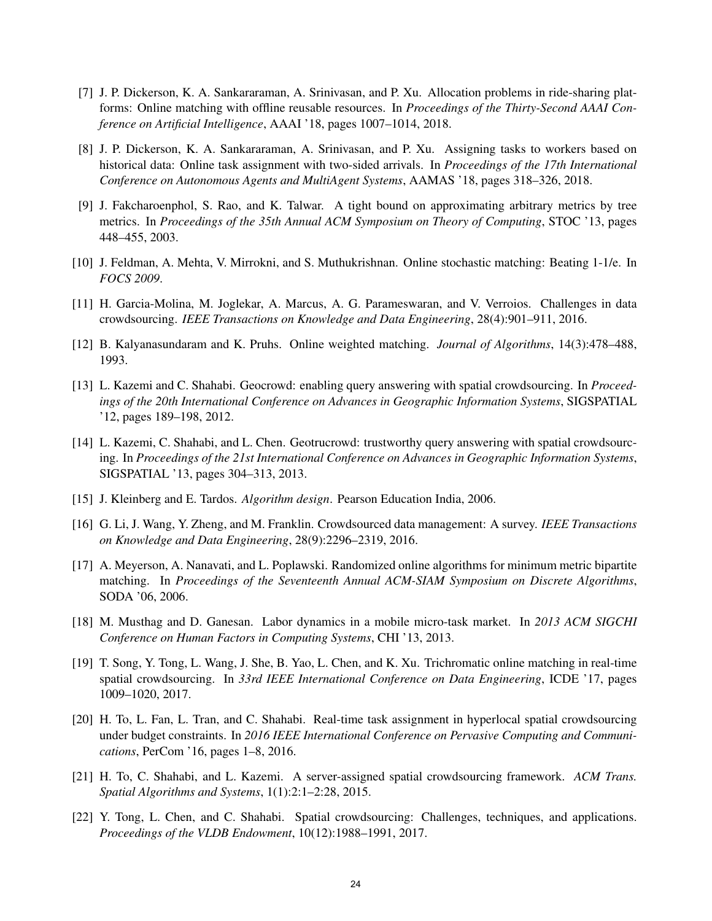- <span id="page-6-13"></span>[7] J. P. Dickerson, K. A. Sankararaman, A. Srinivasan, and P. Xu. Allocation problems in ride-sharing platforms: Online matching with offline reusable resources. In *Proceedings of the Thirty-Second AAAI Conference on Artificial Intelligence*, AAAI '18, pages 1007–1014, 2018.
- <span id="page-6-14"></span>[8] J. P. Dickerson, K. A. Sankararaman, A. Srinivasan, and P. Xu. Assigning tasks to workers based on historical data: Online task assignment with two-sided arrivals. In *Proceedings of the 17th International Conference on Autonomous Agents and MultiAgent Systems*, AAMAS '18, pages 318–326, 2018.
- <span id="page-6-15"></span>[9] J. Fakcharoenphol, S. Rao, and K. Talwar. A tight bound on approximating arbitrary metrics by tree metrics. In *Proceedings of the 35th Annual ACM Symposium on Theory of Computing*, STOC '13, pages 448–455, 2003.
- <span id="page-6-7"></span>[10] J. Feldman, A. Mehta, V. Mirrokni, and S. Muthukrishnan. Online stochastic matching: Beating 1-1/e. In *FOCS 2009*.
- <span id="page-6-0"></span>[11] H. Garcia-Molina, M. Joglekar, A. Marcus, A. G. Parameswaran, and V. Verroios. Challenges in data crowdsourcing. *IEEE Transactions on Knowledge and Data Engineering*, 28(4):901–911, 2016.
- <span id="page-6-12"></span>[12] B. Kalyanasundaram and K. Pruhs. Online weighted matching. *Journal of Algorithms*, 14(3):478–488, 1993.
- <span id="page-6-4"></span>[13] L. Kazemi and C. Shahabi. Geocrowd: enabling query answering with spatial crowdsourcing. In *Proceedings of the 20th International Conference on Advances in Geographic Information Systems*, SIGSPATIAL '12, pages 189–198, 2012.
- <span id="page-6-8"></span>[14] L. Kazemi, C. Shahabi, and L. Chen. Geotrucrowd: trustworthy query answering with spatial crowdsourcing. In *Proceedings of the 21st International Conference on Advances in Geographic Information Systems*, SIGSPATIAL '13, pages 304–313, 2013.
- <span id="page-6-11"></span>[15] J. Kleinberg and E. Tardos. *Algorithm design*. Pearson Education India, 2006.
- <span id="page-6-1"></span>[16] G. Li, J. Wang, Y. Zheng, and M. Franklin. Crowdsourced data management: A survey. *IEEE Transactions on Knowledge and Data Engineering*, 28(9):2296–2319, 2016.
- <span id="page-6-6"></span>[17] A. Meyerson, A. Nanavati, and L. Poplawski. Randomized online algorithms for minimum metric bipartite matching. In *Proceedings of the Seventeenth Annual ACM-SIAM Symposium on Discrete Algorithms*, SODA '06, 2006.
- <span id="page-6-3"></span>[18] M. Musthag and D. Ganesan. Labor dynamics in a mobile micro-task market. In *2013 ACM SIGCHI Conference on Human Factors in Computing Systems*, CHI '13, 2013.
- <span id="page-6-5"></span>[19] T. Song, Y. Tong, L. Wang, J. She, B. Yao, L. Chen, and K. Xu. Trichromatic online matching in real-time spatial crowdsourcing. In *33rd IEEE International Conference on Data Engineering*, ICDE '17, pages 1009–1020, 2017.
- <span id="page-6-10"></span>[20] H. To, L. Fan, L. Tran, and C. Shahabi. Real-time task assignment in hyperlocal spatial crowdsourcing under budget constraints. In *2016 IEEE International Conference on Pervasive Computing and Communications*, PerCom '16, pages 1–8, 2016.
- <span id="page-6-9"></span>[21] H. To, C. Shahabi, and L. Kazemi. A server-assigned spatial crowdsourcing framework. *ACM Trans. Spatial Algorithms and Systems*, 1(1):2:1–2:28, 2015.
- <span id="page-6-2"></span>[22] Y. Tong, L. Chen, and C. Shahabi. Spatial crowdsourcing: Challenges, techniques, and applications. *Proceedings of the VLDB Endowment*, 10(12):1988–1991, 2017.